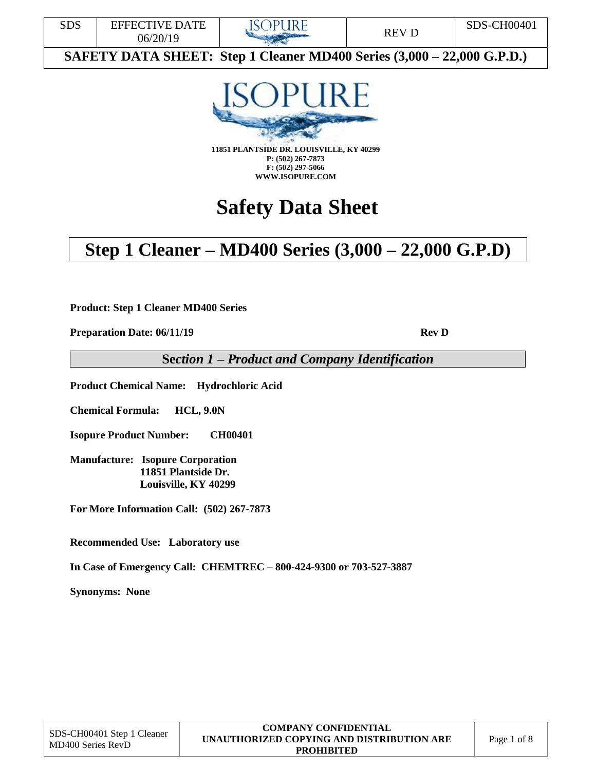



**11851 PLANTSIDE DR. LOUISVILLE, KY 40299 P: (502) 267-7873 F: (502) 297-5066 WWW.ISOPURE.COM**

# **Safety Data Sheet**

# **Step 1 Cleaner – MD400 Series (3,000 – 22,000 G.P.D)**

**Product: Step 1 Cleaner MD400 Series**

**Preparation Date: 06/11/19 Rev D** 

**Se***ction 1 – Product and Company Identification*

**Product Chemical Name: Hydrochloric Acid**

**Chemical Formula: HCL, 9.0N**

**Isopure Product Number: CH00401**

**Manufacture: Isopure Corporation 11851 Plantside Dr. Louisville, KY 40299**

**For More Information Call: (502) 267-7873**

**Recommended Use: Laboratory use** 

**In Case of Emergency Call: CHEMTREC – 800-424-9300 or 703-527-3887** 

**Synonyms: None**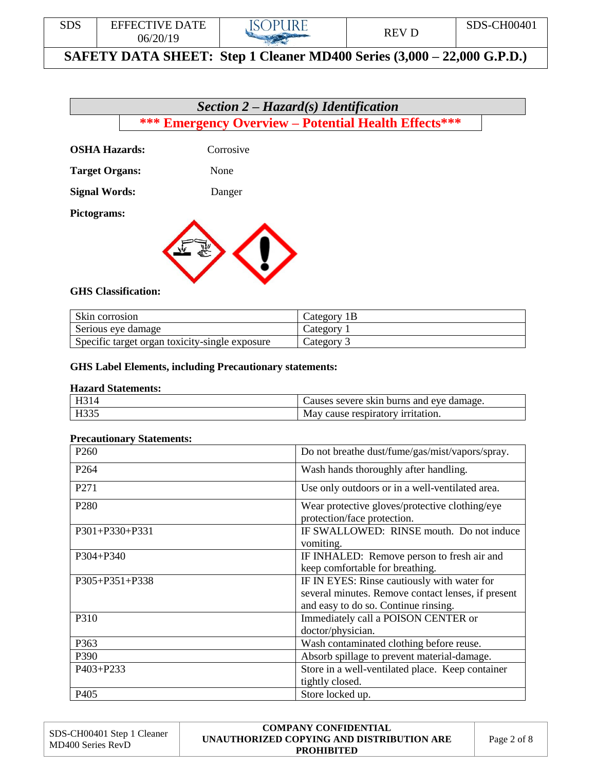



| Skin corrosion                                 | Category 1B |
|------------------------------------------------|-------------|
| Serious eye damage                             | Category    |
| Specific target organ toxicity-single exposure | Category    |

#### **GHS Label Elements, including Precautionary statements:**

#### **Hazard Statements:**

| TT <sub>01</sub> | Causes severe skin burns and eve damage. |
|------------------|------------------------------------------|
| TTQCE            | May cause respiratory irritation.        |

#### **Precautionary Statements:**

| P <sub>260</sub> | Do not breathe dust/fume/gas/mist/vapors/spray.                                                                                           |
|------------------|-------------------------------------------------------------------------------------------------------------------------------------------|
| P <sub>264</sub> | Wash hands thoroughly after handling.                                                                                                     |
| P271             | Use only outdoors or in a well-ventilated area.                                                                                           |
| P <sub>280</sub> | Wear protective gloves/protective clothing/eye<br>protection/face protection.                                                             |
| P301+P330+P331   | IF SWALLOWED: RINSE mouth. Do not induce<br>vomiting.                                                                                     |
| P304+P340        | IF INHALED: Remove person to fresh air and<br>keep comfortable for breathing.                                                             |
| P305+P351+P338   | IF IN EYES: Rinse cautiously with water for<br>several minutes. Remove contact lenses, if present<br>and easy to do so. Continue rinsing. |
| P310             | Immediately call a POISON CENTER or<br>doctor/physician.                                                                                  |
| P363             | Wash contaminated clothing before reuse.                                                                                                  |
| P390             | Absorb spillage to prevent material-damage.                                                                                               |
| P403+P233        | Store in a well-ventilated place. Keep container<br>tightly closed.                                                                       |
| P405             | Store locked up.                                                                                                                          |

SDS-CH00401 Step 1 Cleaner MD400 Series RevD **COMPANY CONFIDENTIAL UNAUTHORIZED COPYING AND DISTRIBUTION ARE PROHIBITED** Page 2 of 8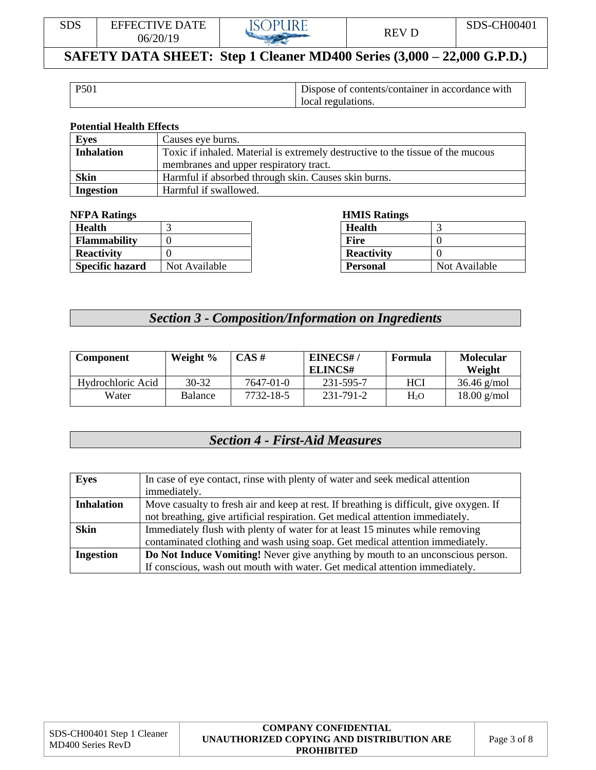

| P501 | Dispose of contents/container in accordance with |  |
|------|--------------------------------------------------|--|
|      | local regulations.                               |  |

#### **Potential Health Effects**

| <b>Eyes</b>       | Causes eye burns.                                                               |
|-------------------|---------------------------------------------------------------------------------|
| <b>Inhalation</b> | Toxic if inhaled. Material is extremely destructive to the tissue of the mucous |
|                   | membranes and upper respiratory tract.                                          |
| <b>Skin</b>       | Harmful if absorbed through skin. Causes skin burns.                            |
| <b>Ingestion</b>  | Harmful if swallowed.                                                           |

#### **NFPA Ratings HMIS Ratings**

| <b>Health</b>          |               | <b>Health</b>     |               |
|------------------------|---------------|-------------------|---------------|
| <b>Flammability</b>    |               | Fire              |               |
| <b>Reactivity</b>      |               | <b>Reactivity</b> |               |
| <b>Specific hazard</b> | Not Available | <b>Personal</b>   | Not Available |

| <b>Health</b>     |               |
|-------------------|---------------|
| Fire              |               |
| <b>Reactivity</b> |               |
| Personal          | Not Available |

# *Section 3 - Composition/Information on Ingredients*

| <b>Component</b>  | Weight $\%$ | CAS#      | EINECS#/<br>ELINCS# | Formula    | <b>Molecular</b><br>Weight |
|-------------------|-------------|-----------|---------------------|------------|----------------------------|
| Hydrochloric Acid | $30 - 32$   | 7647-01-0 | 231-595-7           | <b>HCI</b> | $36.46$ g/mol              |
| Water             | Balance     | 7732-18-5 | 231-791-2           | $H_2O$     | $18.00$ g/mol              |

# *Section 4 - First-Aid Measures*

| <b>Eyes</b>       | In case of eye contact, rinse with plenty of water and seek medical attention           |
|-------------------|-----------------------------------------------------------------------------------------|
|                   | immediately.                                                                            |
| <b>Inhalation</b> | Move casualty to fresh air and keep at rest. If breathing is difficult, give oxygen. If |
|                   | not breathing, give artificial respiration. Get medical attention immediately.          |
| <b>Skin</b>       | Immediately flush with plenty of water for at least 15 minutes while removing           |
|                   | contaminated clothing and wash using soap. Get medical attention immediately.           |
| <b>Ingestion</b>  | Do Not Induce Vomiting! Never give anything by mouth to an unconscious person.          |
|                   | If conscious, wash out mouth with water. Get medical attention immediately.             |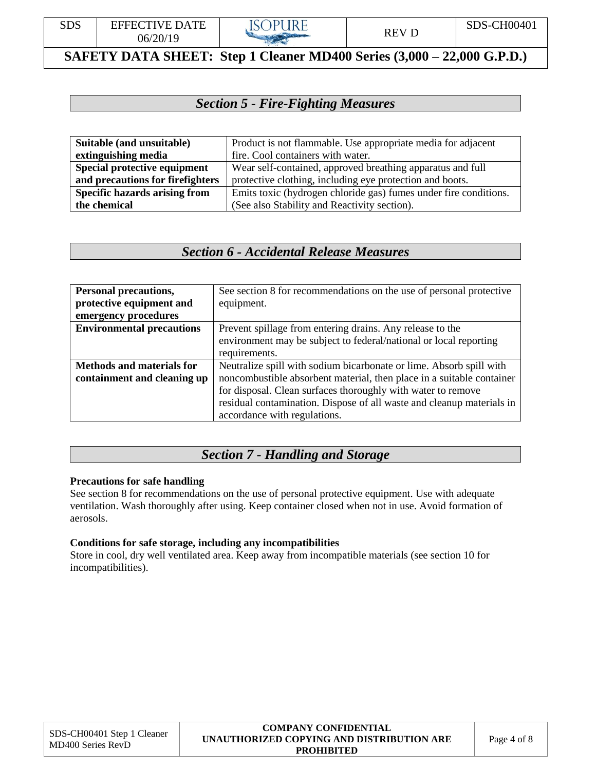

# *Section 5 - Fire-Fighting Measures*

| Suitable (and unsuitable)            | Product is not flammable. Use appropriate media for adjacent     |  |
|--------------------------------------|------------------------------------------------------------------|--|
| extinguishing media                  | fire. Cool containers with water.                                |  |
| Special protective equipment         | Wear self-contained, approved breathing apparatus and full       |  |
| and precautions for firefighters     | protective clothing, including eye protection and boots.         |  |
| <b>Specific hazards arising from</b> | Emits toxic (hydrogen chloride gas) fumes under fire conditions. |  |
| the chemical                         | (See also Stability and Reactivity section).                     |  |

### *Section 6 - Accidental Release Measures*

| <b>Personal precautions,</b>     | See section 8 for recommendations on the use of personal protective   |
|----------------------------------|-----------------------------------------------------------------------|
| protective equipment and         | equipment.                                                            |
| emergency procedures             |                                                                       |
| <b>Environmental precautions</b> | Prevent spillage from entering drains. Any release to the             |
|                                  | environment may be subject to federal/national or local reporting     |
|                                  | requirements.                                                         |
| <b>Methods and materials for</b> | Neutralize spill with sodium bicarbonate or lime. Absorb spill with   |
| containment and cleaning up      | noncombustible absorbent material, then place in a suitable container |
|                                  | for disposal. Clean surfaces thoroughly with water to remove          |
|                                  | residual contamination. Dispose of all waste and cleanup materials in |
|                                  | accordance with regulations.                                          |

## *Section 7 - Handling and Storage*

#### **Precautions for safe handling**

See section 8 for recommendations on the use of personal protective equipment. Use with adequate ventilation. Wash thoroughly after using. Keep container closed when not in use. Avoid formation of aerosols.

#### **Conditions for safe storage, including any incompatibilities**

Store in cool, dry well ventilated area. Keep away from incompatible materials (see section 10 for incompatibilities).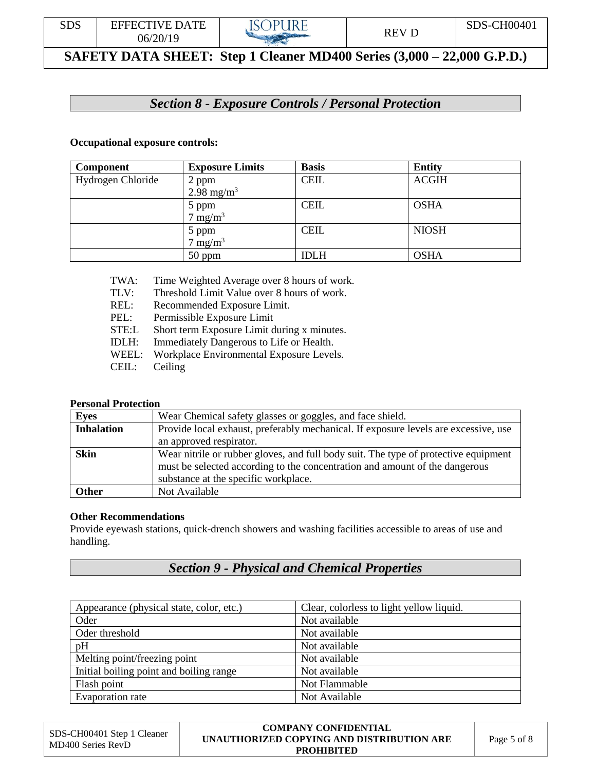

# *Section 8 - Exposure Controls / Personal Protection*

#### **Occupational exposure controls:**

| <b>Component</b>  | <b>Exposure Limits</b> | <b>Basis</b> | <b>Entity</b> |
|-------------------|------------------------|--------------|---------------|
| Hydrogen Chloride | 2 ppm                  | <b>CEIL</b>  | <b>ACGIH</b>  |
|                   | 2.98 mg/m <sup>3</sup> |              |               |
|                   | 5 ppm                  | <b>CEIL</b>  | <b>OSHA</b>   |
|                   | $7 \text{ mg/m}^3$     |              |               |
|                   | 5 ppm                  | <b>CEIL</b>  | <b>NIOSH</b>  |
|                   | $7 \text{ mg/m}^3$     |              |               |
|                   | $50$ ppm               | <b>IDLH</b>  | <b>OSHA</b>   |

- TWA: Time Weighted Average over 8 hours of work.
- TLV: Threshold Limit Value over 8 hours of work.
- REL: Recommended Exposure Limit.
- PEL: Permissible Exposure Limit
- STE:L Short term Exposure Limit during x minutes.
- IDLH: Immediately Dangerous to Life or Health.
- WEEL: Workplace Environmental Exposure Levels.
- CEIL: Ceiling

#### **Personal Protection**

| <b>Eyes</b>       | Wear Chemical safety glasses or goggles, and face shield.                                                                                                                                                  |
|-------------------|------------------------------------------------------------------------------------------------------------------------------------------------------------------------------------------------------------|
| <b>Inhalation</b> | Provide local exhaust, preferably mechanical. If exposure levels are excessive, use                                                                                                                        |
|                   | an approved respirator.                                                                                                                                                                                    |
| <b>Skin</b>       | Wear nitrile or rubber gloves, and full body suit. The type of protective equipment<br>must be selected according to the concentration and amount of the dangerous<br>substance at the specific workplace. |
| <b>Other</b>      | Not Available                                                                                                                                                                                              |

#### **Other Recommendations**

Provide eyewash stations, quick-drench showers and washing facilities accessible to areas of use and handling.

# *Section 9 - Physical and Chemical Properties*

| Appearance (physical state, color, etc.) | Clear, colorless to light yellow liquid. |
|------------------------------------------|------------------------------------------|
| Oder                                     | Not available                            |
| Oder threshold                           | Not available                            |
| pH                                       | Not available                            |
| Melting point/freezing point             | Not available                            |
| Initial boiling point and boiling range  | Not available                            |
| Flash point                              | Not Flammable                            |
| Evaporation rate                         | Not Available                            |

| SDS-CH00401 Step 1 Cleaner<br>MD400 Series RevD | <b>COMPANY CONFIDENTIAL</b><br>UNAUTHORIZED COPYING AND DISTRIBUTION ARE<br><b>PROHIBITED</b> | Page 5 of 8 |
|-------------------------------------------------|-----------------------------------------------------------------------------------------------|-------------|
|-------------------------------------------------|-----------------------------------------------------------------------------------------------|-------------|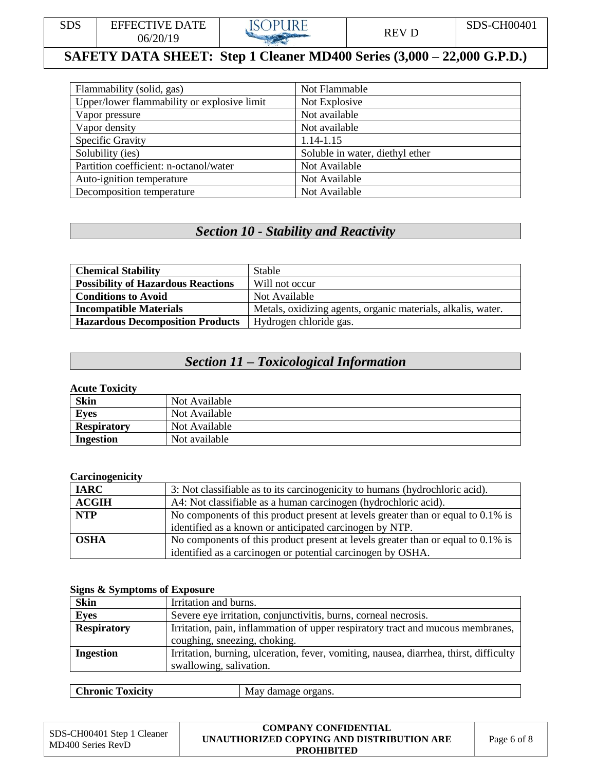

| Flammability (solid, gas)                   | Not Flammable                   |
|---------------------------------------------|---------------------------------|
| Upper/lower flammability or explosive limit | Not Explosive                   |
| Vapor pressure                              | Not available                   |
| Vapor density                               | Not available                   |
| Specific Gravity                            | 1.14-1.15                       |
| Solubility (ies)                            | Soluble in water, diethyl ether |
| Partition coefficient: n-octanol/water      | Not Available                   |
| Auto-ignition temperature                   | Not Available                   |
| Decomposition temperature                   | Not Available                   |

# *Section 10 - Stability and Reactivity*

| <b>Chemical Stability</b>                 | Stable                                                       |
|-------------------------------------------|--------------------------------------------------------------|
| <b>Possibility of Hazardous Reactions</b> | Will not occur                                               |
| <b>Conditions to Avoid</b>                | Not Available                                                |
| <b>Incompatible Materials</b>             | Metals, oxidizing agents, organic materials, alkalis, water. |
| <b>Hazardous Decomposition Products</b>   | Hydrogen chloride gas.                                       |

# *Section 11 – Toxicological Information*

#### **Acute Toxicity**

| <b>Skin</b>        | Not Available |
|--------------------|---------------|
| <b>Eyes</b>        | Not Available |
| <b>Respiratory</b> | Not Available |
| Ingestion          | Not available |

### **Carcinogenicity**

| <b>IARC</b>  | 3: Not classifiable as to its carcinogenicity to humans (hydrochloric acid).     |  |
|--------------|----------------------------------------------------------------------------------|--|
| <b>ACGIH</b> | A4: Not classifiable as a human carcinogen (hydrochloric acid).                  |  |
| <b>NTP</b>   | No components of this product present at levels greater than or equal to 0.1% is |  |
|              | identified as a known or anticipated carcinogen by NTP.                          |  |
| <b>OSHA</b>  | No components of this product present at levels greater than or equal to 0.1% is |  |
|              | identified as a carcinogen or potential carcinogen by OSHA.                      |  |

#### **Signs & Symptoms of Exposure**

| $\cdot$            |                                                                                        |
|--------------------|----------------------------------------------------------------------------------------|
| <b>Skin</b>        | Irritation and burns.                                                                  |
| <b>Eyes</b>        | Severe eye irritation, conjunctivitis, burns, corneal necrosis.                        |
| <b>Respiratory</b> | Irritation, pain, inflammation of upper respiratory tract and mucous membranes,        |
|                    | coughing, sneezing, choking.                                                           |
| <b>Ingestion</b>   | Irritation, burning, ulceration, fever, vomiting, nausea, diarrhea, thirst, difficulty |
|                    | swallowing, salivation.                                                                |
|                    |                                                                                        |

| ______ | $\mathbf{C}^1$<br><b>TIME</b><br><b>Toxicity</b><br>hronic.' | N/T<br>organs.<br>admage |
|--------|--------------------------------------------------------------|--------------------------|
|--------|--------------------------------------------------------------|--------------------------|

| SDS-CH00401 Step 1 Cleaner<br>MD400 Series RevD | <b>COMPANY CONFIDENTIAL</b><br>UNAUTHORIZED COPYING AND DISTRIBUTION ARE<br><b>PROHIBITED</b> | Page 6 of 8 |
|-------------------------------------------------|-----------------------------------------------------------------------------------------------|-------------|
|-------------------------------------------------|-----------------------------------------------------------------------------------------------|-------------|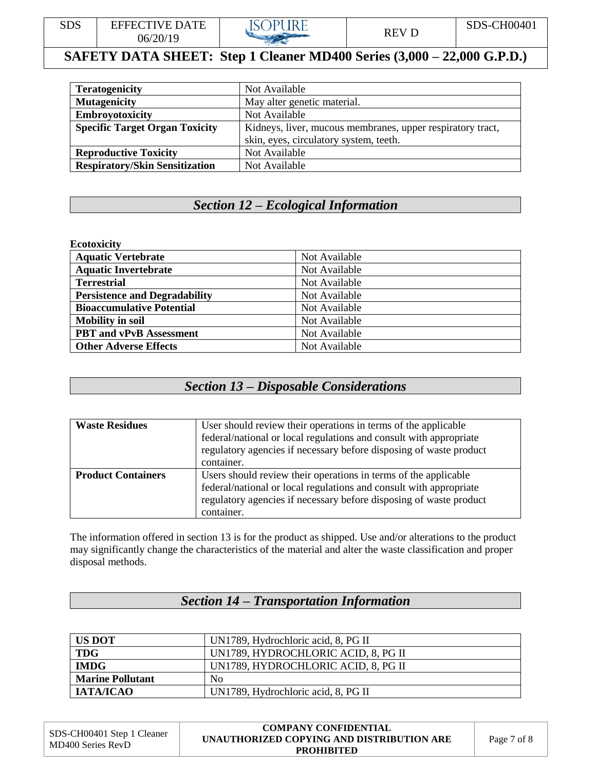

| <b>Teratogenicity</b>                 | Not Available                                              |
|---------------------------------------|------------------------------------------------------------|
| <b>Mutagenicity</b>                   | May alter genetic material.                                |
| <b>Embroyotoxicity</b>                | Not Available                                              |
| <b>Specific Target Organ Toxicity</b> | Kidneys, liver, mucous membranes, upper respiratory tract, |
|                                       | skin, eyes, circulatory system, teeth.                     |
| <b>Reproductive Toxicity</b>          | Not Available                                              |
| <b>Respiratory/Skin Sensitization</b> | Not Available                                              |

# *Section 12 – Ecological Information*

#### **Ecotoxicity**

| <b>Aquatic Vertebrate</b>            | Not Available |
|--------------------------------------|---------------|
| <b>Aquatic Invertebrate</b>          | Not Available |
| <b>Terrestrial</b>                   | Not Available |
| <b>Persistence and Degradability</b> | Not Available |
| <b>Bioaccumulative Potential</b>     | Not Available |
| <b>Mobility in soil</b>              | Not Available |
| <b>PBT</b> and vPvB Assessment       | Not Available |
| <b>Other Adverse Effects</b>         | Not Available |

### *Section 13 – Disposable Considerations*

| <b>Waste Residues</b>     | User should review their operations in terms of the applicable<br>federal/national or local regulations and consult with appropriate<br>regulatory agencies if necessary before disposing of waste product<br>container.  |
|---------------------------|---------------------------------------------------------------------------------------------------------------------------------------------------------------------------------------------------------------------------|
| <b>Product Containers</b> | Users should review their operations in terms of the applicable<br>federal/national or local regulations and consult with appropriate<br>regulatory agencies if necessary before disposing of waste product<br>container. |

The information offered in section 13 is for the product as shipped. Use and/or alterations to the product may significantly change the characteristics of the material and alter the waste classification and proper disposal methods.

# *Section 14 – Transportation Information*

| <b>US DOT</b>           | UN1789, Hydrochloric acid, 8, PG II |  |
|-------------------------|-------------------------------------|--|
| <b>TDG</b>              | UN1789, HYDROCHLORIC ACID, 8, PG II |  |
| <b>IMDG</b>             | UN1789, HYDROCHLORIC ACID, 8, PG II |  |
| <b>Marine Pollutant</b> | N <sub>0</sub>                      |  |
| <b>ІАТА/ІСАО</b>        | UN1789, Hydrochloric acid, 8, PG II |  |

| SDS-CH00401 Step 1 Cleaner | <b>COMPANY CONFIDENTIAL</b>               |             |
|----------------------------|-------------------------------------------|-------------|
| MD400 Series RevD          | UNAUTHORIZED COPYING AND DISTRIBUTION ARE | Page 7 of 8 |
|                            | <b>PROHIBITED</b>                         |             |